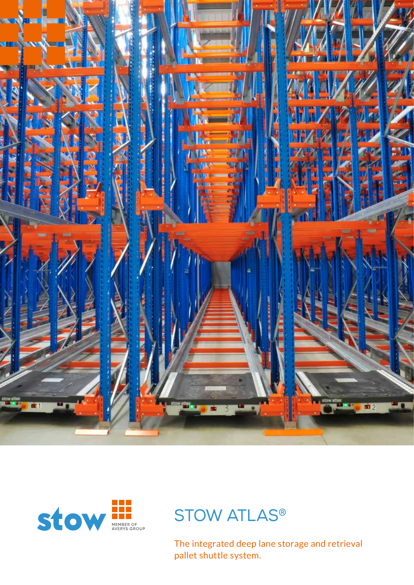





The integrated deep lane storage and retrieval pallet shuttle system.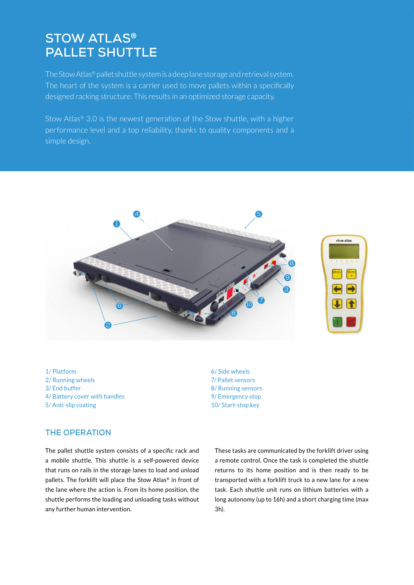## **STOW ATLAS® PALLET SHUTTLE**

The Stow Atlas® pallet shuttle system is a deep lane storage and retrieval system. The heart of the system is a carrier used to move pallets within a specifically designed racking structure. This results in an optimized storage capacity.

Stow Atlas® 3.0 is the newest generation of the Stow shuttle, with a higher performance level and a top reliability, thanks to quality components and a simple design.



1/ Platform 2/ Running wheels 3/ End buffer 4/ Battery cover with handles 5/ Anti-slip coating

6/ Side wheels 7/ Pallet sensors 8/ Running sensors 9/ Emergency stop 10/ Start-stop key

#### **THE OPERATION**

The pallet shuttle system consists of a specific rack and a mobile shuttle. This shuttle is a self-powered device that runs on rails in the storage lanes to load and unload pallets. The forklift will place the Stow Atlas® in front of the lane where the action is. From its home position, the shuttle performs the loading and unloading tasks without any further human intervention.

These tasks are communicated by the forklift driver using a remote control. Once the task is completed the shuttle returns to its home position and is then ready to be transported with a forklift truck to a new lane for a new task. Each shuttle unit runs on lithium batteries with a long autonomy (up to 16h) and a short charging time (max 3h).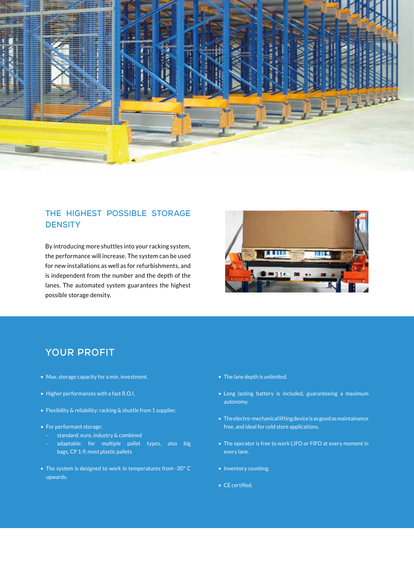

### **THE HIGHEST POSSIBLE STORAGE DENSITY**

By introducing more shuttles into your racking system, the performance will increase. The system can be used for new installations as well as for refurbishments, and is independent from the number and the depth of the lanes. The automated system guarantees the highest possible storage density.



### **YOUR PROFIT**

- Max. storage capacity for a min. investment.
- Higher performances with a fast R.O.I.
- Flexibility & reliability: racking & shuttle from 1 supplier.
- For performant storage:
	- standard: euro, industry & combined
	- adaptable: for multiple pallet types, also big bags, CP 1-9, most plastic pallets
- The system is designed to work in temperatures from -30° C upwards.
- The lane depth is unlimited.
- Long lasting battery is included, guaranteeing a maximum autonomy.
- The electro-mechanical lifting device is as good as maintainance free, and ideal for cold store applications.
- The operator is free to work LIFO or FIFO at every moment in every lane.
- Inventory counting.
- CE certified.